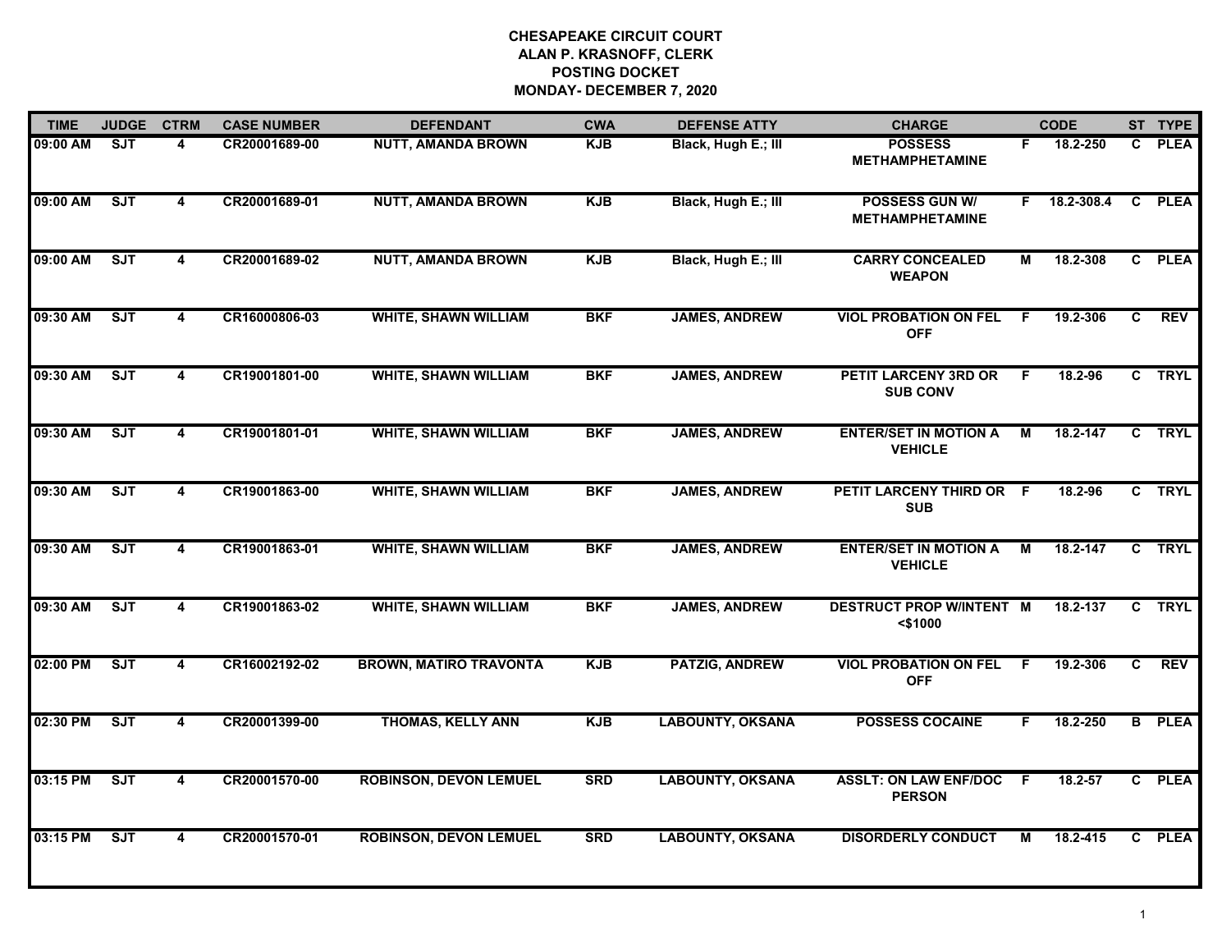| <b>TIME</b> | <b>JUDGE</b> | <b>CTRM</b>             | <b>CASE NUMBER</b> | <b>DEFENDANT</b>              | <b>CWA</b> | <b>DEFENSE ATTY</b>     | <b>CHARGE</b>                                   |    | <b>CODE</b>  |              | ST TYPE       |
|-------------|--------------|-------------------------|--------------------|-------------------------------|------------|-------------------------|-------------------------------------------------|----|--------------|--------------|---------------|
| 09:00 AM    | SJT          | 4                       | CR20001689-00      | <b>NUTT, AMANDA BROWN</b>     | <b>KJB</b> | Black, Hugh E.; III     | <b>POSSESS</b><br><b>METHAMPHETAMINE</b>        | F. | 18.2-250     | C.           | <b>PLEA</b>   |
| 09:00 AM    | ST           | $\overline{\mathbf{4}}$ | CR20001689-01      | <b>NUTT, AMANDA BROWN</b>     | <b>KJB</b> | Black, Hugh E.; III     | <b>POSSESS GUN W/</b><br><b>METHAMPHETAMINE</b> |    | F 18.2-308.4 | $\mathbf{C}$ | <b>PLEA</b>   |
| 09:00 AM    | ST           | 4                       | CR20001689-02      | <b>NUTT, AMANDA BROWN</b>     | <b>KJB</b> | Black, Hugh E.; III     | <b>CARRY CONCEALED</b><br><b>WEAPON</b>         | М  | 18.2-308     |              | C PLEA        |
| 09:30 AM    | ST           | 4                       | CR16000806-03      | <b>WHITE, SHAWN WILLIAM</b>   | <b>BKF</b> | <b>JAMES, ANDREW</b>    | <b>VIOL PROBATION ON FEL</b><br><b>OFF</b>      | -F | 19.2-306     | C            | <b>REV</b>    |
| 09:30 AM    | ST           | 4                       | CR19001801-00      | <b>WHITE, SHAWN WILLIAM</b>   | <b>BKF</b> | <b>JAMES, ANDREW</b>    | <b>PETIT LARCENY 3RD OR</b><br><b>SUB CONV</b>  | F  | 18.2-96      |              | C TRYL        |
| 09:30 AM    | ST           | 4                       | CR19001801-01      | <b>WHITE, SHAWN WILLIAM</b>   | <b>BKF</b> | <b>JAMES, ANDREW</b>    | <b>ENTER/SET IN MOTION A</b><br><b>VEHICLE</b>  | М  | 18.2-147     | $\mathbf{c}$ | <b>TRYL</b>   |
| 09:30 AM    | SJT          | 4                       | CR19001863-00      | <b>WHITE, SHAWN WILLIAM</b>   | <b>BKF</b> | <b>JAMES, ANDREW</b>    | PETIT LARCENY THIRD OR F<br><b>SUB</b>          |    | 18.2-96      |              | C TRYL        |
| 09:30 AM    | SJT          | 4                       | CR19001863-01      | <b>WHITE, SHAWN WILLIAM</b>   | <b>BKF</b> | <b>JAMES, ANDREW</b>    | <b>ENTER/SET IN MOTION A</b><br><b>VEHICLE</b>  | М  | 18.2-147     |              | C TRYL        |
| 09:30 AM    | ST           | 4                       | CR19001863-02      | <b>WHITE, SHAWN WILLIAM</b>   | <b>BKF</b> | <b>JAMES, ANDREW</b>    | <b>DESTRUCT PROP W/INTENT M</b><br>$<$ \$1000   |    | 18.2-137     | C            | <b>TRYL</b>   |
| 02:00 PM    | SJT          | 4                       | CR16002192-02      | <b>BROWN, MATIRO TRAVONTA</b> | <b>KJB</b> | <b>PATZIG, ANDREW</b>   | <b>VIOL PROBATION ON FEL</b><br><b>OFF</b>      | -F | 19.2-306     | C            | <b>REV</b>    |
| 02:30 PM    | SJT          | $\overline{\mathbf{4}}$ | CR20001399-00      | <b>THOMAS, KELLY ANN</b>      | <b>KJB</b> | <b>LABOUNTY, OKSANA</b> | <b>POSSESS COCAINE</b>                          | F. | 18.2-250     |              | <b>B</b> PLEA |
| 03:15 PM    | ST           | 4                       | CR20001570-00      | <b>ROBINSON, DEVON LEMUEL</b> | <b>SRD</b> | <b>LABOUNTY, OKSANA</b> | <b>ASSLT: ON LAW ENF/DOC</b><br><b>PERSON</b>   | E  | 18.2-57      |              | C PLEA        |
| 03:15 PM    | <b>SJT</b>   | 4                       | CR20001570-01      | <b>ROBINSON, DEVON LEMUEL</b> | <b>SRD</b> | <b>LABOUNTY, OKSANA</b> | <b>DISORDERLY CONDUCT</b>                       | M  | 18.2-415     | $\mathbf{C}$ | <b>PLEA</b>   |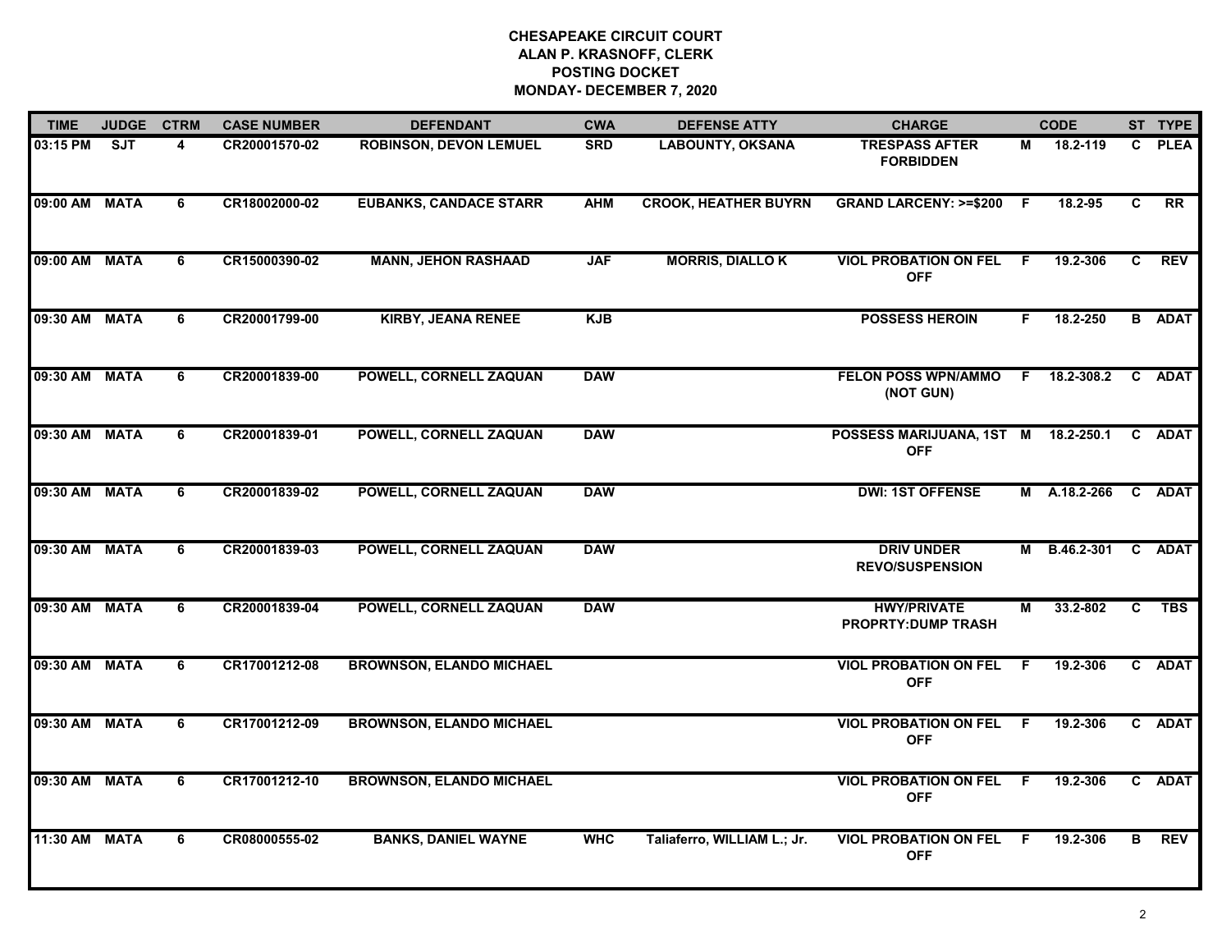| <b>TIME</b>   | <b>JUDGE</b> | <b>CTRM</b> | <b>CASE NUMBER</b> | <b>DEFENDANT</b>                | <b>CWA</b> | <b>DEFENSE ATTY</b>         | <b>CHARGE</b>                                     |     | <b>CODE</b>         |              | ST TYPE         |
|---------------|--------------|-------------|--------------------|---------------------------------|------------|-----------------------------|---------------------------------------------------|-----|---------------------|--------------|-----------------|
| 03:15 PM      | SJT          | 4           | CR20001570-02      | <b>ROBINSON, DEVON LEMUEL</b>   | <b>SRD</b> | <b>LABOUNTY, OKSANA</b>     | <b>TRESPASS AFTER</b><br><b>FORBIDDEN</b>         | М   | 18.2-119            | C.           | <b>PLEA</b>     |
| 09:00 AM MATA |              | 6           | CR18002000-02      | <b>EUBANKS, CANDACE STARR</b>   | <b>AHM</b> | <b>CROOK, HEATHER BUYRN</b> | GRAND LARCENY: >=\$200 F                          |     | 18.2-95             | C            | $\overline{RR}$ |
| 09:00 AM MATA |              | 6           | CR15000390-02      | <b>MANN, JEHON RASHAAD</b>      | <b>JAF</b> | <b>MORRIS, DIALLO K</b>     | <b>VIOL PROBATION ON FEL</b><br><b>OFF</b>        | -F  | 19.2-306            | $\mathbf{C}$ | <b>REV</b>      |
| 09:30 AM MATA |              | 6           | CR20001799-00      | <b>KIRBY, JEANA RENEE</b>       | <b>KJB</b> |                             | <b>POSSESS HEROIN</b>                             | F.  | 18.2-250            |              | <b>B</b> ADAT   |
| 09:30 AM MATA |              | 6           | CR20001839-00      | POWELL, CORNELL ZAQUAN          | <b>DAW</b> |                             | <b>FELON POSS WPN/AMMO</b><br>(NOT GUN)           |     | F 18.2-308.2        |              | C ADAT          |
| 09:30 AM MATA |              | 6           | CR20001839-01      | POWELL, CORNELL ZAQUAN          | <b>DAW</b> |                             | POSSESS MARIJUANA, 1ST M 18.2-250.1<br><b>OFF</b> |     |                     |              | C ADAT          |
| 09:30 AM MATA |              | 6           | CR20001839-02      | POWELL, CORNELL ZAQUAN          | <b>DAW</b> |                             | <b>DWI: 1ST OFFENSE</b>                           |     | M A.18.2-266        |              | C ADAT          |
| 09:30 AM MATA |              | 6           | CR20001839-03      | POWELL, CORNELL ZAQUAN          | <b>DAW</b> |                             | <b>DRIV UNDER</b><br><b>REVO/SUSPENSION</b>       |     | M B.46.2-301 C ADAT |              |                 |
| 09:30 AM MATA |              | 6           | CR20001839-04      | POWELL, CORNELL ZAQUAN          | <b>DAW</b> |                             | <b>HWY/PRIVATE</b><br><b>PROPRTY: DUMP TRASH</b>  | М   | 33.2-802            | C            | <b>TBS</b>      |
| 09:30 AM MATA |              | 6           | CR17001212-08      | <b>BROWNSON, ELANDO MICHAEL</b> |            |                             | <b>VIOL PROBATION ON FEL</b><br><b>OFF</b>        | - F | 19.2-306            |              | C ADAT          |
| 09:30 AM MATA |              | 6           | CR17001212-09      | <b>BROWNSON, ELANDO MICHAEL</b> |            |                             | <b>VIOL PROBATION ON FEL</b><br><b>OFF</b>        | - F | 19.2-306            | $\mathbf{c}$ | <b>ADAT</b>     |
| 09:30 AM MATA |              | 6           | CR17001212-10      | <b>BROWNSON, ELANDO MICHAEL</b> |            |                             | <b>VIOL PROBATION ON FEL</b><br><b>OFF</b>        | - F | 19.2-306            |              | C ADAT          |
| 11:30 AM MATA |              | 6           | CR08000555-02      | <b>BANKS, DANIEL WAYNE</b>      | <b>WHC</b> | Taliaferro, WILLIAM L.; Jr. | <b>VIOL PROBATION ON FEL</b><br><b>OFF</b>        | -F  | 19.2-306            | В            | <b>REV</b>      |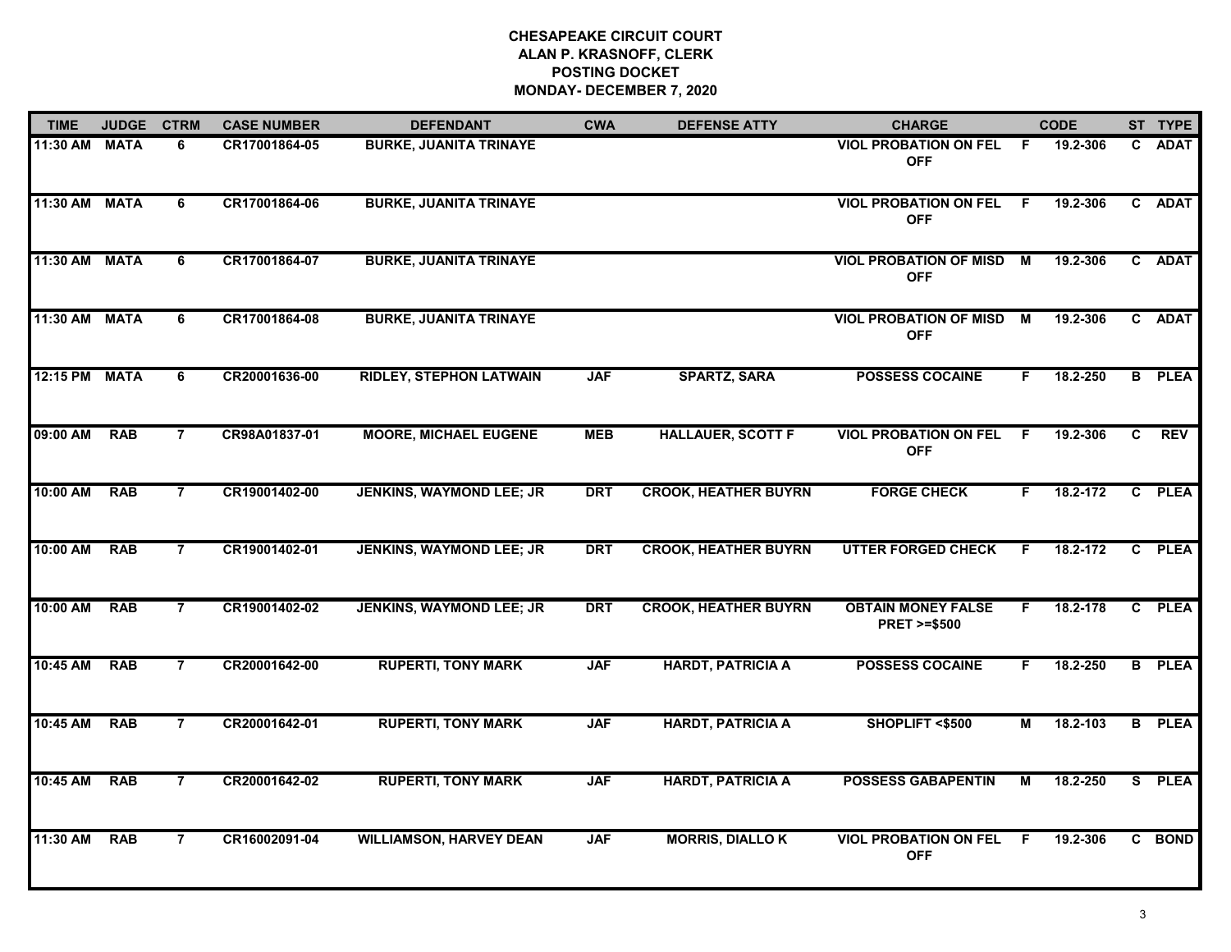| <b>TIME</b>   | <b>JUDGE</b> | <b>CTRM</b>    | <b>CASE NUMBER</b> | <b>DEFENDANT</b>                | <b>CWA</b> | <b>DEFENSE ATTY</b>         | <b>CHARGE</b>                                       |     | <b>CODE</b> |              | ST TYPE       |
|---------------|--------------|----------------|--------------------|---------------------------------|------------|-----------------------------|-----------------------------------------------------|-----|-------------|--------------|---------------|
| 11:30 AM MATA |              | 6              | CR17001864-05      | <b>BURKE, JUANITA TRINAYE</b>   |            |                             | <b>VIOL PROBATION ON FEL</b><br><b>OFF</b>          | F.  | 19.2-306    |              | C ADAT        |
| 11:30 AM      | <b>MATA</b>  | 6              | CR17001864-06      | <b>BURKE, JUANITA TRINAYE</b>   |            |                             | <b>VIOL PROBATION ON FEL</b><br><b>OFF</b>          | F.  | 19.2-306    |              | C ADAT        |
| 11:30 AM      | <b>MATA</b>  | 6              | CR17001864-07      | <b>BURKE, JUANITA TRINAYE</b>   |            |                             | <b>VIOL PROBATION OF MISD</b><br><b>OFF</b>         | M   | 19.2-306    |              | C ADAT        |
| 11:30 AM      | <b>MATA</b>  | 6              | CR17001864-08      | <b>BURKE, JUANITA TRINAYE</b>   |            |                             | <b>VIOL PROBATION OF MISD</b><br><b>OFF</b>         | M   | 19.2-306    |              | C ADAT        |
| 12:15 PM MATA |              | 6              | CR20001636-00      | <b>RIDLEY, STEPHON LATWAIN</b>  | <b>JAF</b> | <b>SPARTZ, SARA</b>         | <b>POSSESS COCAINE</b>                              | F.  | 18.2-250    |              | <b>B</b> PLEA |
| 09:00 AM      | <b>RAB</b>   | $\overline{7}$ | CR98A01837-01      | <b>MOORE, MICHAEL EUGENE</b>    | <b>MEB</b> | <b>HALLAUER, SCOTT F</b>    | <b>VIOL PROBATION ON FEL</b><br><b>OFF</b>          | - F | 19.2-306    | $\mathbf{c}$ | <b>REV</b>    |
| 10:00 AM      | <b>RAB</b>   | $\overline{7}$ | CR19001402-00      | <b>JENKINS, WAYMOND LEE; JR</b> | <b>DRT</b> | <b>CROOK, HEATHER BUYRN</b> | <b>FORGE CHECK</b>                                  | F.  | 18.2-172    | $\mathbf{c}$ | <b>PLEA</b>   |
| 10:00 AM      | <b>RAB</b>   | $\overline{7}$ | CR19001402-01      | <b>JENKINS, WAYMOND LEE; JR</b> | <b>DRT</b> | <b>CROOK, HEATHER BUYRN</b> | <b>UTTER FORGED CHECK</b>                           | F.  | 18.2-172    |              | C PLEA        |
| 10:00 AM      | <b>RAB</b>   | 7              | CR19001402-02      | <b>JENKINS, WAYMOND LEE; JR</b> | <b>DRT</b> | <b>CROOK, HEATHER BUYRN</b> | <b>OBTAIN MONEY FALSE</b><br><b>PRET &gt;=\$500</b> | F.  | 18.2-178    |              | C PLEA        |
| 10:45 AM      | <b>RAB</b>   | $\overline{7}$ | CR20001642-00      | <b>RUPERTI, TONY MARK</b>       | <b>JAF</b> | <b>HARDT, PATRICIA A</b>    | <b>POSSESS COCAINE</b>                              | F.  | 18.2-250    |              | <b>B</b> PLEA |
| 10:45 AM      | <b>RAB</b>   | 7              | CR20001642-01      | <b>RUPERTI, TONY MARK</b>       | <b>JAF</b> | <b>HARDT, PATRICIA A</b>    | SHOPLIFT <\$500                                     | М   | 18.2-103    |              | <b>B</b> PLEA |
| 10:45 AM      | <b>RAB</b>   | $\overline{7}$ | CR20001642-02      | <b>RUPERTI, TONY MARK</b>       | <b>JAF</b> | <b>HARDT, PATRICIA A</b>    | <b>POSSESS GABAPENTIN</b>                           | M   | 18.2-250    | S.           | <b>PLEA</b>   |
| 11:30 AM      | <b>RAB</b>   | $\overline{7}$ | CR16002091-04      | <b>WILLIAMSON, HARVEY DEAN</b>  | <b>JAF</b> | <b>MORRIS, DIALLOK</b>      | <b>VIOL PROBATION ON FEL</b><br><b>OFF</b>          | F   | 19.2-306    |              | C BOND        |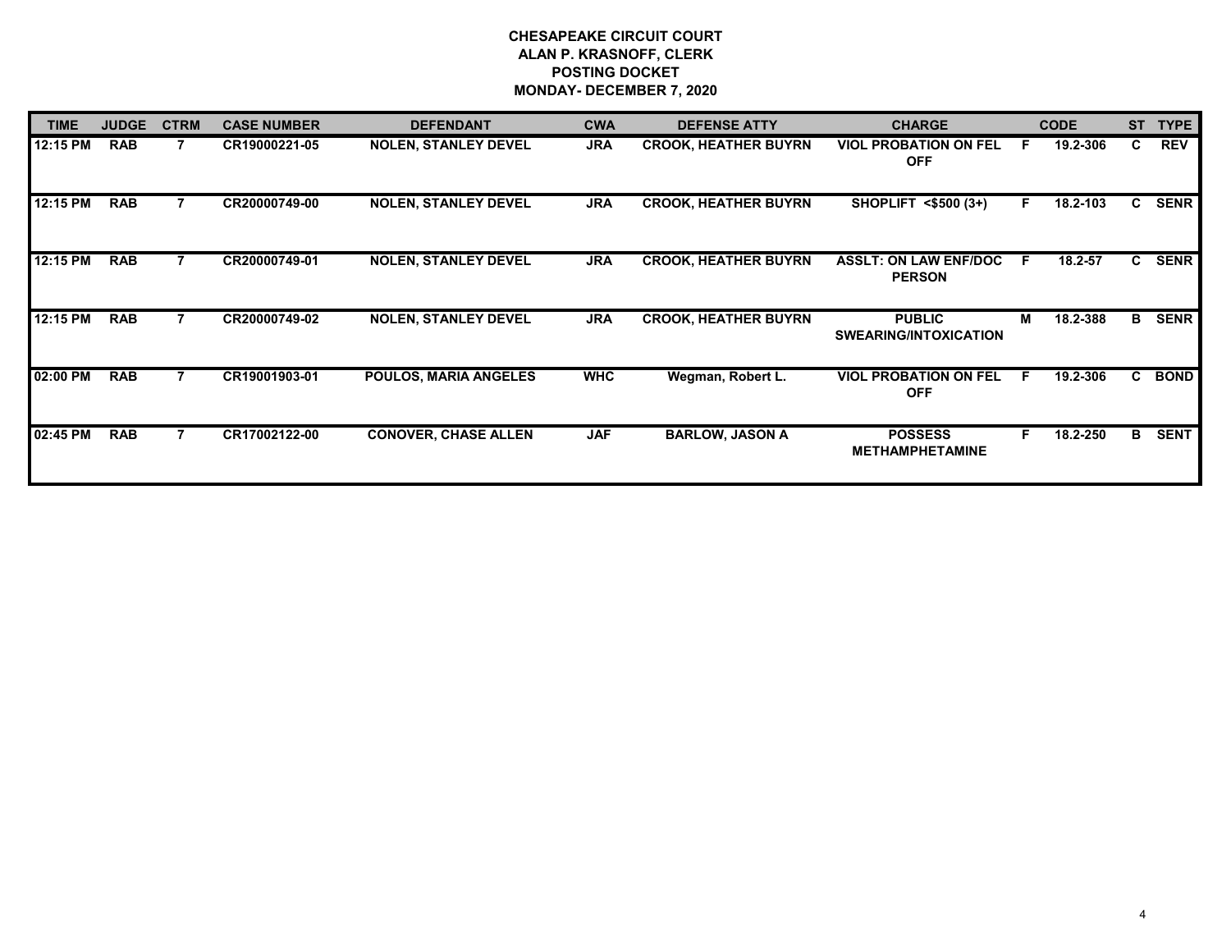| <b>TIME</b> | <b>JUDGE</b> | <b>CTRM</b> | <b>CASE NUMBER</b> | <b>DEFENDANT</b>             | <b>CWA</b> | <b>DEFENSE ATTY</b>         | <b>CHARGE</b>                                 |    | <b>CODE</b> | <b>ST</b> | <b>TYPE</b> |
|-------------|--------------|-------------|--------------------|------------------------------|------------|-----------------------------|-----------------------------------------------|----|-------------|-----------|-------------|
| 12:15 PM    | <b>RAB</b>   |             | CR19000221-05      | <b>NOLEN, STANLEY DEVEL</b>  | <b>JRA</b> | <b>CROOK, HEATHER BUYRN</b> | <b>VIOL PROBATION ON FEL</b><br><b>OFF</b>    | F  | 19.2-306    | C.        | <b>REV</b>  |
| 12:15 PM    | <b>RAB</b>   |             | CR20000749-00      | <b>NOLEN, STANLEY DEVEL</b>  | <b>JRA</b> | <b>CROOK, HEATHER BUYRN</b> | SHOPLIFT <\$500 (3+)                          | F. | 18.2-103    | C.        | <b>SENR</b> |
| 12:15 PM    | <b>RAB</b>   |             | CR20000749-01      | <b>NOLEN, STANLEY DEVEL</b>  | <b>JRA</b> | <b>CROOK, HEATHER BUYRN</b> | <b>ASSLT: ON LAW ENF/DOC</b><br><b>PERSON</b> | E  | 18.2-57     | C.        | <b>SENR</b> |
| 12:15 PM    | <b>RAB</b>   |             | CR20000749-02      | <b>NOLEN, STANLEY DEVEL</b>  | <b>JRA</b> | <b>CROOK, HEATHER BUYRN</b> | <b>PUBLIC</b><br><b>SWEARING/INTOXICATION</b> | M  | 18.2-388    | B         | <b>SENR</b> |
| 02:00 PM    | <b>RAB</b>   |             | CR19001903-01      | <b>POULOS, MARIA ANGELES</b> | <b>WHC</b> | Wegman, Robert L.           | <b>VIOL PROBATION ON FEL</b><br><b>OFF</b>    | E  | 19.2-306    | C.        | <b>BOND</b> |
| 02:45 PM    | <b>RAB</b>   |             | CR17002122-00      | <b>CONOVER, CHASE ALLEN</b>  | <b>JAF</b> | <b>BARLOW, JASON A</b>      | <b>POSSESS</b><br><b>METHAMPHETAMINE</b>      | F  | 18.2-250    | в         | <b>SENT</b> |